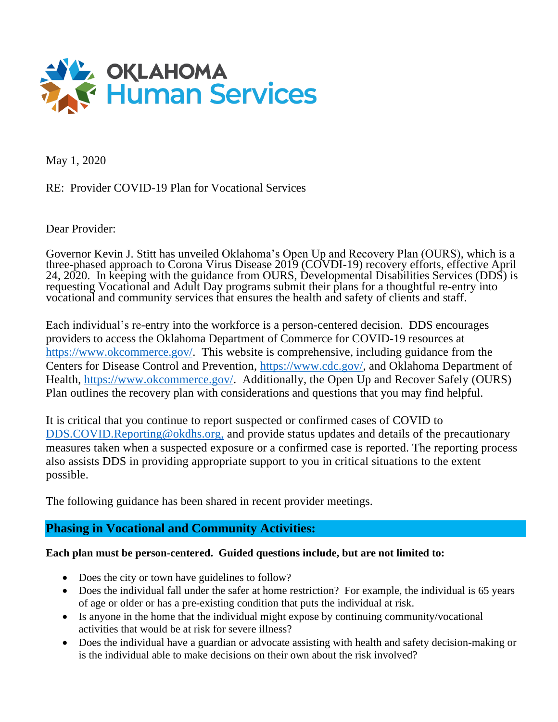

May 1, 2020

RE: Provider COVID-19 Plan for Vocational Services

Dear Provider:

Governor Kevin J. Stitt has unveiled Oklahoma's Open Up and Recovery Plan (OURS), which is a three-phased approach to Corona Virus Disease 2019 (COVDI-19) recovery efforts, effective April 24, 2020. In keeping with the guidance from OURS, Developmental Disabilities Services (DDS) is requesting Vocational and Adult Day programs submit their plans for a thoughtful re-entry into vocational and community services that ensures the health and safety of clients and staff.

Each individual's re-entry into the workforce is a person-centered decision. DDS encourages providers to access the Oklahoma Department of Commerce for COVID-19 resources at [https://www.okcommerce.gov/.](https://www.okcommerce.gov/) This website is comprehensive, including guidance from the Centers for Disease Control and Prevention, [https://www.cdc.gov/,](https://www.cdc.gov/) and Oklahoma Department of Health, [https://www.okcommerce.gov/.](https://www.okcommerce.gov/) Additionally, the Open Up and Recover Safely (OURS) Plan outlines the recovery plan with considerations and questions that you may find helpful.

It is critical that you continue to report suspected or confirmed cases of COVID to [DDS.COVID.Reporting@okdhs.org,](mailto:*DDS.COVID.Reporting@okdhs.org) and provide status updates and details of the precautionary measures taken when a suspected exposure or a confirmed case is reported. The reporting process also assists DDS in providing appropriate support to you in critical situations to the extent possible.

The following guidance has been shared in recent provider meetings.

## **Phasing in Vocational and Community Activities:**

## **Each plan must be person-centered. Guided questions include, but are not limited to:**

- Does the city or town have guidelines to follow?
- Does the individual fall under the safer at home restriction? For example, the individual is 65 years of age or older or has a pre-existing condition that puts the individual at risk.
- Is anyone in the home that the individual might expose by continuing community/vocational activities that would be at risk for severe illness?
- Does the individual have a guardian or advocate assisting with health and safety decision-making or is the individual able to make decisions on their own about the risk involved?